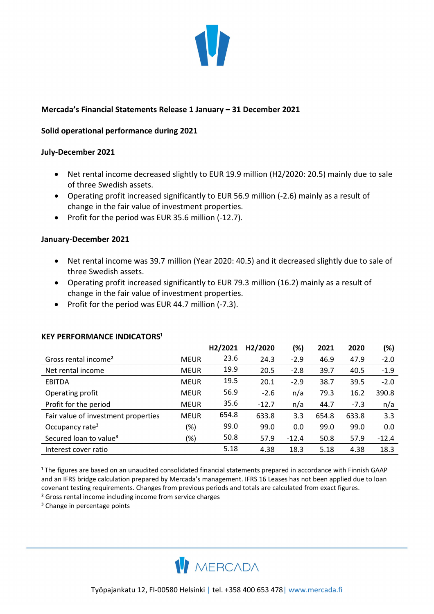

## **Mercada's Financial Statements Release 1 January – 31 December 2021**

### **Solid operational performance during 2021**

### **July-December 2021**

- Net rental income decreased slightly to EUR 19.9 million (H2/2020: 20.5) mainly due to sale of three Swedish assets.
- Operating profit increased significantly to EUR 56.9 million (-2.6) mainly as a result of change in the fair value of investment properties.
- Profit for the period was EUR 35.6 million (-12.7).

### **January-December 2021**

- Net rental income was 39.7 million (Year 2020: 40.5) and it decreased slightly due to sale of three Swedish assets.
- Operating profit increased significantly to EUR 79.3 million (16.2) mainly as a result of change in the fair value of investment properties.
- Profit for the period was EUR 44.7 million (-7.3).

|                                     |             | H <sub>2</sub> /2021 | H <sub>2</sub> /2020 | (%)     | 2021  | 2020   | (%)     |
|-------------------------------------|-------------|----------------------|----------------------|---------|-------|--------|---------|
| Gross rental income <sup>2</sup>    | <b>MEUR</b> | 23.6                 | 24.3                 | $-2.9$  | 46.9  | 47.9   | $-2.0$  |
| Net rental income                   | <b>MEUR</b> | 19.9                 | 20.5                 | $-2.8$  | 39.7  | 40.5   | $-1.9$  |
| <b>EBITDA</b>                       | <b>MEUR</b> | 19.5                 | 20.1                 | $-2.9$  | 38.7  | 39.5   | $-2.0$  |
| Operating profit                    | <b>MEUR</b> | 56.9                 | $-2.6$               | n/a     | 79.3  | 16.2   | 390.8   |
| Profit for the period               | <b>MEUR</b> | 35.6                 | $-12.7$              | n/a     | 44.7  | $-7.3$ | n/a     |
| Fair value of investment properties | <b>MEUR</b> | 654.8                | 633.8                | 3.3     | 654.8 | 633.8  | 3.3     |
| Occupancy rate <sup>3</sup>         | (%)         | 99.0                 | 99.0                 | 0.0     | 99.0  | 99.0   | 0.0     |
| Secured loan to value <sup>3</sup>  | (%)         | 50.8                 | 57.9                 | $-12.4$ | 50.8  | 57.9   | $-12.4$ |
| Interest cover ratio                |             | 5.18                 | 4.38                 | 18.3    | 5.18  | 4.38   | 18.3    |

#### **KEY PERFORMANCE INDICATORS<sup>1</sup>**

<sup>1</sup> The figures are based on an unaudited consolidated financial statements prepared in accordance with Finnish GAAP and an IFRS bridge calculation prepared by Mercada's management. IFRS 16 Leases has not been applied due to loan covenant testing requirements. Changes from previous periods and totals are calculated from exact figures. ² Gross rental income including income from service charges

<sup>3</sup> Change in percentage points

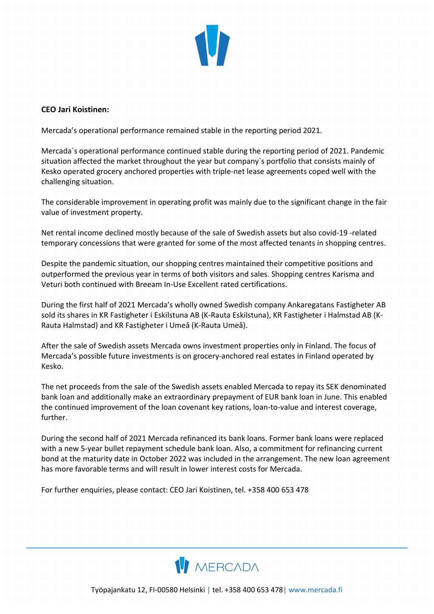

## **CEO Jari Koistinen:**

Mercada's operational performance remained stable in the reporting period 2021.

Mercada`s operational performance continued stable during the reporting period of 2021. Pandemic situation affected the market throughout the year but company`s portfolio that consists mainly of Kesko operated grocery anchored properties with triple-net lease agreements coped well with the challenging situation.

The considerable improvement in operating profit was mainly due to the significant change in the fair value of investment property.

Net rental income declined mostly because of the sale of Swedish assets but also covid-19 -related temporary concessions that were granted for some of the most affected tenants in shopping centres.

Despite the pandemic situation, our shopping centres maintained their competitive positions and outperformed the previous year in terms of both visitors and sales. Shopping centres Karisma and Veturi both continued with Breeam In-Use Excellent rated certifications.

During the first half of 2021 Mercada's wholly owned Swedish company Ankaregatans Fastigheter AB sold its shares in KR Fastigheter i Eskilstuna AB (K-Rauta Eskilstuna), KR Fastigheter i Halmstad AB (K-Rauta Halmstad) and KR Fastigheter i Umeå (K-Rauta Umeå).

After the sale of Swedish assets Mercada owns investment properties only in Finland. The focus of Mercada's possible future investments is on grocery-anchored real estates in Finland operated by Kesko.

The net proceeds from the sale of the Swedish assets enabled Mercada to repay its SEK denominated bank loan and additionally make an extraordinary prepayment of EUR bank loan in June. This enabled the continued improvement of the loan covenant key rations, loan-to-value and interest coverage, further.

During the second half of 2021 Mercada refinanced its bank loans. Former bank loans were replaced with a new 5-year bullet repayment schedule bank loan. Also, a commitment for refinancing current bond at the maturity date in October 2022 was included in the arrangement. The new loan agreement has more favorable terms and will result in lower interest costs for Mercada.

For further enquiries, please contact: CEO Jari Koistinen, tel. +358 400 653 478

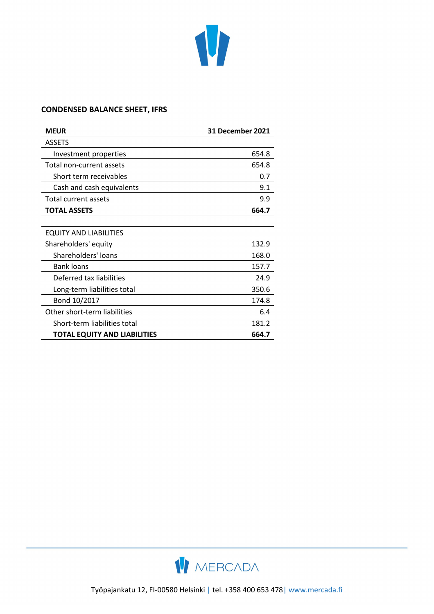

## **CONDENSED BALANCE SHEET, IFRS**

| <b>MEUR</b>                         | <b>31 December 2021</b> |
|-------------------------------------|-------------------------|
| <b>ASSETS</b>                       |                         |
| Investment properties               | 654.8                   |
| Total non-current assets            | 654.8                   |
| Short term receivables              | 0.7                     |
| Cash and cash equivalents           | 9.1                     |
| Total current assets                | 9.9                     |
| <b>TOTAL ASSETS</b>                 | 664.7                   |
|                                     |                         |
| <b>EQUITY AND LIABILITIES</b>       |                         |
| Shareholders' equity                | 132.9                   |
| Shareholders' loans                 | 168.0                   |
| <b>Bank loans</b>                   | 157.7                   |
| Deferred tax liabilities            | 24.9                    |
| Long-term liabilities total         | 350.6                   |
| Bond 10/2017                        | 174.8                   |
| Other short-term liabilities        | 6.4                     |
| Short-term liabilities total        | 181.2                   |
| <b>TOTAL EQUITY AND LIABILITIES</b> | 664.7                   |